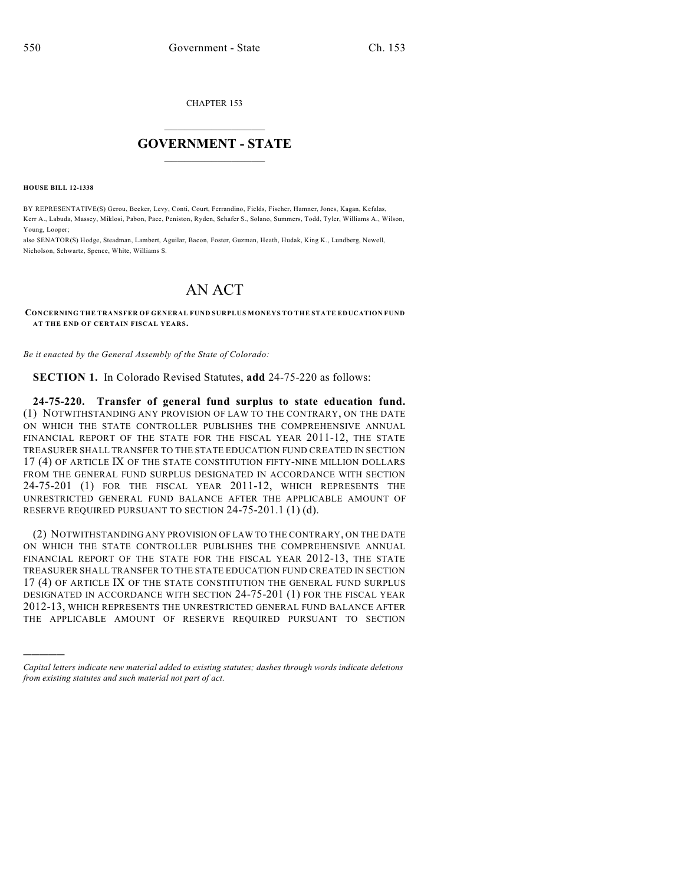CHAPTER 153

## $\mathcal{L}_\text{max}$  . The set of the set of the set of the set of the set of the set of the set of the set of the set of the set of the set of the set of the set of the set of the set of the set of the set of the set of the set **GOVERNMENT - STATE**  $\_$   $\_$   $\_$   $\_$   $\_$   $\_$   $\_$   $\_$   $\_$

**HOUSE BILL 12-1338**

)))))

BY REPRESENTATIVE(S) Gerou, Becker, Levy, Conti, Court, Ferrandino, Fields, Fischer, Hamner, Jones, Kagan, Kefalas, Kerr A., Labuda, Massey, Miklosi, Pabon, Pace, Peniston, Ryden, Schafer S., Solano, Summers, Todd, Tyler, Williams A., Wilson, Young, Looper;

also SENATOR(S) Hodge, Steadman, Lambert, Aguilar, Bacon, Foster, Guzman, Heath, Hudak, King K., Lundberg, Newell, Nicholson, Schwartz, Spence, White, Williams S.

## AN ACT

**CONCERNING THE TRANSFER OF GENERAL FUND SURPLUS MONEYS TO THE STATE EDUCATION FUND AT THE END OF CERTAIN FISCAL YEARS.**

*Be it enacted by the General Assembly of the State of Colorado:*

**SECTION 1.** In Colorado Revised Statutes, **add** 24-75-220 as follows:

**24-75-220. Transfer of general fund surplus to state education fund.** (1) NOTWITHSTANDING ANY PROVISION OF LAW TO THE CONTRARY, ON THE DATE ON WHICH THE STATE CONTROLLER PUBLISHES THE COMPREHENSIVE ANNUAL FINANCIAL REPORT OF THE STATE FOR THE FISCAL YEAR 2011-12, THE STATE TREASURER SHALL TRANSFER TO THE STATE EDUCATION FUND CREATED IN SECTION 17 (4) OF ARTICLE IX OF THE STATE CONSTITUTION FIFTY-NINE MILLION DOLLARS FROM THE GENERAL FUND SURPLUS DESIGNATED IN ACCORDANCE WITH SECTION 24-75-201 (1) FOR THE FISCAL YEAR 2011-12, WHICH REPRESENTS THE UNRESTRICTED GENERAL FUND BALANCE AFTER THE APPLICABLE AMOUNT OF RESERVE REQUIRED PURSUANT TO SECTION 24-75-201.1 (1)(d).

(2) NOTWITHSTANDING ANY PROVISION OF LAW TO THE CONTRARY, ON THE DATE ON WHICH THE STATE CONTROLLER PUBLISHES THE COMPREHENSIVE ANNUAL FINANCIAL REPORT OF THE STATE FOR THE FISCAL YEAR 2012-13, THE STATE TREASURER SHALL TRANSFER TO THE STATE EDUCATION FUND CREATED IN SECTION 17 (4) OF ARTICLE IX OF THE STATE CONSTITUTION THE GENERAL FUND SURPLUS DESIGNATED IN ACCORDANCE WITH SECTION 24-75-201 (1) FOR THE FISCAL YEAR 2012-13, WHICH REPRESENTS THE UNRESTRICTED GENERAL FUND BALANCE AFTER THE APPLICABLE AMOUNT OF RESERVE REQUIRED PURSUANT TO SECTION

*Capital letters indicate new material added to existing statutes; dashes through words indicate deletions from existing statutes and such material not part of act.*